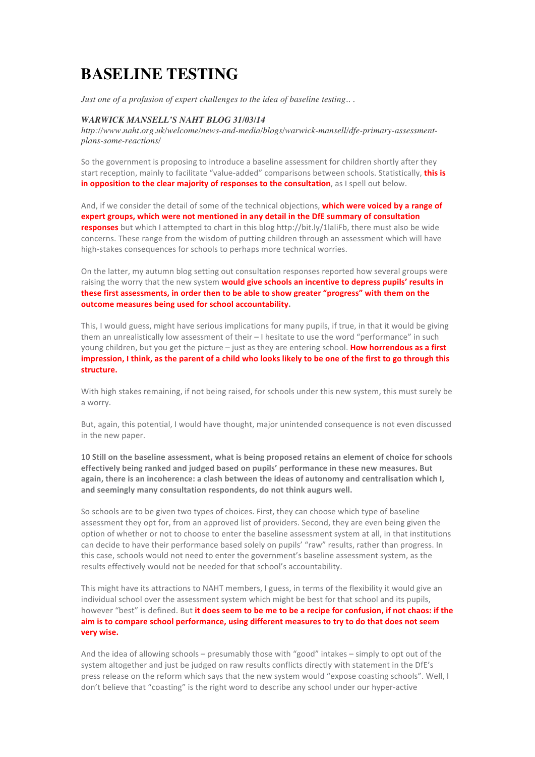## **BASELINE TESTING**

*Just one of a profusion of expert challenges to the idea of baseline testing.. .*

## *WARWICK MANSELL'S NAHT BLOG 31/03/14*

*http://www.naht.org.uk/welcome/news-and-media/blogs/warwick-mansell/dfe-primary-assessmentplans-some-reactions/*

So the government is proposing to introduce a baseline assessment for children shortly after they start reception, mainly to facilitate "value-added" comparisons between schools. Statistically, **this is in opposition to the clear majority of responses to the consultation**, as I spell out below.

And, if we consider the detail of some of the technical objections, **which were voiced by a range of** expert groups, which were not mentioned in any detail in the DfE summary of consultation **responses** but which I attempted to chart in this blog http://bit.ly/1laliFb, there must also be wide concerns. These range from the wisdom of putting children through an assessment which will have high-stakes consequences for schools to perhaps more technical worries.

On the latter, my autumn blog setting out consultation responses reported how several groups were raising the worry that the new system **would give schools an incentive to depress pupils' results in** these first assessments, in order then to be able to show greater "progress" with them on the outcome measures being used for school accountability.

This, I would guess, might have serious implications for many pupils, if true, in that it would be giving them an unrealistically low assessment of their - I hesitate to use the word "performance" in such young children, but you get the picture – just as they are entering school. How horrendous as a first impression, I think, as the parent of a child who looks likely to be one of the first to go through this **structure.**

With high stakes remaining, if not being raised, for schools under this new system, this must surely be a worry.

But, again, this potential, I would have thought, major unintended consequence is not even discussed in the new paper.

10 Still on the baseline assessment, what is being proposed retains an element of choice for schools effectively being ranked and judged based on pupils' performance in these new measures. But again, there is an incoherence: a clash between the ideas of autonomy and centralisation which I, and seemingly many consultation respondents, do not think augurs well.

So schools are to be given two types of choices. First, they can choose which type of baseline assessment they opt for, from an approved list of providers. Second, they are even being given the option of whether or not to choose to enter the baseline assessment system at all, in that institutions can decide to have their performance based solely on pupils' "raw" results, rather than progress. In this case, schools would not need to enter the government's baseline assessment system, as the results effectively would not be needed for that school's accountability.

This might have its attractions to NAHT members, I guess, in terms of the flexibility it would give an individual school over the assessment system which might be best for that school and its pupils, however "best" is defined. But it does seem to be me to be a recipe for confusion, if not chaos: if the aim is to compare school performance, using different measures to try to do that does not seem **very wise.**

And the idea of allowing schools - presumably those with "good" intakes - simply to opt out of the system altogether and just be judged on raw results conflicts directly with statement in the DfE's press release on the reform which says that the new system would "expose coasting schools". Well, I don't believe that "coasting" is the right word to describe any school under our hyper-active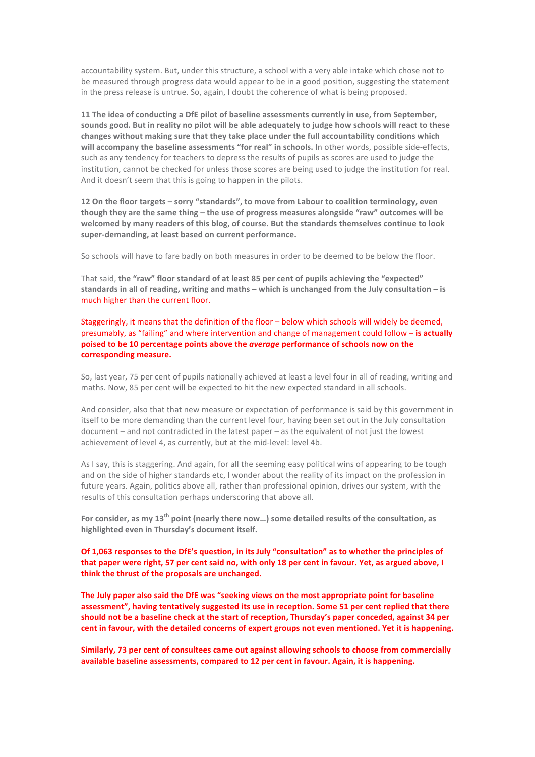accountability system. But, under this structure, a school with a very able intake which chose not to be measured through progress data would appear to be in a good position, suggesting the statement in the press release is untrue. So, again, I doubt the coherence of what is being proposed.

**11** The idea of conducting a DfE pilot of baseline assessments currently in use, from September, sounds good. But in reality no pilot will be able adequately to judge how schools will react to these changes without making sure that they take place under the full accountability conditions which will accompany the baseline assessments "for real" in schools. In other words, possible side-effects, such as any tendency for teachers to depress the results of pupils as scores are used to judge the institution, cannot be checked for unless those scores are being used to judge the institution for real. And it doesn't seem that this is going to happen in the pilots.

12 On the floor targets - sorry "standards", to move from Labour to coalition terminology, even though they are the same thing - the use of progress measures alongside "raw" outcomes will be welcomed by many readers of this blog, of course. But the standards themselves continue to look super-demanding, at least based on current performance.

So schools will have to fare badly on both measures in order to be deemed to be below the floor.

That said, the "raw" floor standard of at least 85 per cent of pupils achieving the "expected" standards in all of reading, writing and maths – which is unchanged from the July consultation – is much higher than the current floor.

Staggeringly, it means that the definition of the floor – below which schools will widely be deemed, presumably, as "failing" and where intervention and change of management could follow – is actually poised to be 10 percentage points above the *average* performance of schools now on the **corresponding measure.**

So, last year, 75 per cent of pupils nationally achieved at least a level four in all of reading, writing and maths. Now, 85 per cent will be expected to hit the new expected standard in all schools.

And consider, also that that new measure or expectation of performance is said by this government in itself to be more demanding than the current level four, having been set out in the July consultation document – and not contradicted in the latest paper – as the equivalent of not just the lowest achievement of level 4, as currently, but at the mid-level: level 4b.

As I say, this is staggering. And again, for all the seeming easy political wins of appearing to be tough and on the side of higher standards etc, I wonder about the reality of its impact on the profession in future years. Again, politics above all, rather than professional opinion, drives our system, with the results of this consultation perhaps underscoring that above all.

For consider, as my 13<sup>th</sup> point (nearly there now...) some detailed results of the consultation, as highlighted even in Thursday's document itself.

Of 1,063 responses to the DfE's question, in its July "consultation" as to whether the principles of that paper were right, 57 per cent said no, with only 18 per cent in favour. Yet, as argued above, I think the thrust of the proposals are unchanged.

The July paper also said the DfE was "seeking views on the most appropriate point for baseline assessment", having tentatively suggested its use in reception. Some 51 per cent replied that there should not be a baseline check at the start of reception, Thursday's paper conceded, against 34 per cent in favour, with the detailed concerns of expert groups not even mentioned. Yet it is happening.

Similarly, 73 per cent of consultees came out against allowing schools to choose from commercially available baseline assessments, compared to 12 per cent in favour. Again, it is happening.